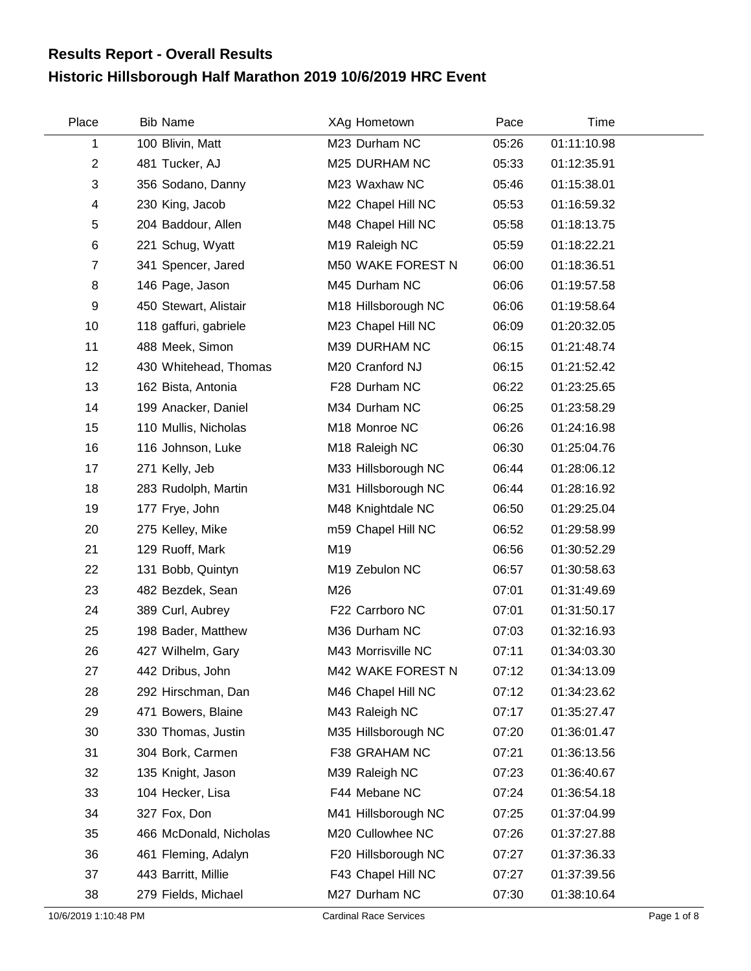## **Historic Hillsborough Half Marathon 2019 10/6/2019 HRC Event Results Report - Overall Results**

| Place                | <b>Bib Name</b>        | XAg Hometown                  | Pace  | Time        |             |
|----------------------|------------------------|-------------------------------|-------|-------------|-------------|
| 1                    | 100 Blivin, Matt       | M23 Durham NC                 | 05:26 | 01:11:10.98 |             |
| $\overline{2}$       | 481 Tucker, AJ         | M25 DURHAM NC                 | 05:33 | 01:12:35.91 |             |
| 3                    | 356 Sodano, Danny      | M23 Waxhaw NC                 | 05:46 | 01:15:38.01 |             |
| 4                    | 230 King, Jacob        | M22 Chapel Hill NC            | 05:53 | 01:16:59.32 |             |
| 5                    | 204 Baddour, Allen     | M48 Chapel Hill NC            | 05:58 | 01:18:13.75 |             |
| $\,6$                | 221 Schug, Wyatt       | M19 Raleigh NC                | 05:59 | 01:18:22.21 |             |
| $\overline{7}$       | 341 Spencer, Jared     | M50 WAKE FOREST N             | 06:00 | 01:18:36.51 |             |
| 8                    | 146 Page, Jason        | M45 Durham NC                 | 06:06 | 01:19:57.58 |             |
| $\boldsymbol{9}$     | 450 Stewart, Alistair  | M18 Hillsborough NC           | 06:06 | 01:19:58.64 |             |
| 10                   | 118 gaffuri, gabriele  | M23 Chapel Hill NC            | 06:09 | 01:20:32.05 |             |
| 11                   | 488 Meek, Simon        | M39 DURHAM NC                 | 06:15 | 01:21:48.74 |             |
| 12                   | 430 Whitehead, Thomas  | M20 Cranford NJ               | 06:15 | 01:21:52.42 |             |
| 13                   | 162 Bista, Antonia     | F28 Durham NC                 | 06:22 | 01:23:25.65 |             |
| 14                   | 199 Anacker, Daniel    | M34 Durham NC                 | 06:25 | 01:23:58.29 |             |
| 15                   | 110 Mullis, Nicholas   | M18 Monroe NC                 | 06:26 | 01:24:16.98 |             |
| 16                   | 116 Johnson, Luke      | M18 Raleigh NC                | 06:30 | 01:25:04.76 |             |
| 17                   | 271 Kelly, Jeb         | M33 Hillsborough NC           | 06:44 | 01:28:06.12 |             |
| 18                   | 283 Rudolph, Martin    | M31 Hillsborough NC           | 06:44 | 01:28:16.92 |             |
| 19                   | 177 Frye, John         | M48 Knightdale NC             | 06:50 | 01:29:25.04 |             |
| 20                   | 275 Kelley, Mike       | m59 Chapel Hill NC            | 06:52 | 01:29:58.99 |             |
| 21                   | 129 Ruoff, Mark        | M19                           | 06:56 | 01:30:52.29 |             |
| 22                   | 131 Bobb, Quintyn      | M19 Zebulon NC                | 06:57 | 01:30:58.63 |             |
| 23                   | 482 Bezdek, Sean       | M26                           | 07:01 | 01:31:49.69 |             |
| 24                   | 389 Curl, Aubrey       | F22 Carrboro NC               | 07:01 | 01:31:50.17 |             |
| 25                   | 198 Bader, Matthew     | M36 Durham NC                 | 07:03 | 01:32:16.93 |             |
| 26                   | 427 Wilhelm, Gary      | M43 Morrisville NC            | 07:11 | 01:34:03.30 |             |
| 27                   | 442 Dribus, John       | M42 WAKE FOREST N             | 07:12 | 01:34:13.09 |             |
| 28                   | 292 Hirschman, Dan     | M46 Chapel Hill NC            | 07:12 | 01:34:23.62 |             |
| 29                   | 471 Bowers, Blaine     | M43 Raleigh NC                | 07:17 | 01:35:27.47 |             |
| 30                   | 330 Thomas, Justin     | M35 Hillsborough NC           | 07:20 | 01:36:01.47 |             |
| 31                   | 304 Bork, Carmen       | F38 GRAHAM NC                 | 07:21 | 01:36:13.56 |             |
| 32                   | 135 Knight, Jason      | M39 Raleigh NC                | 07:23 | 01:36:40.67 |             |
| 33                   | 104 Hecker, Lisa       | F44 Mebane NC                 | 07:24 | 01:36:54.18 |             |
| 34                   | 327 Fox, Don           | M41 Hillsborough NC           | 07:25 | 01:37:04.99 |             |
| 35                   | 466 McDonald, Nicholas | M20 Cullowhee NC              | 07:26 | 01:37:27.88 |             |
| 36                   | 461 Fleming, Adalyn    | F20 Hillsborough NC           | 07:27 | 01:37:36.33 |             |
| 37                   | 443 Barritt, Millie    | F43 Chapel Hill NC            | 07:27 | 01:37:39.56 |             |
| 38                   | 279 Fields, Michael    | M27 Durham NC                 | 07:30 | 01:38:10.64 |             |
| 10/6/2019 1:10:48 PM |                        | <b>Cardinal Race Services</b> |       |             | Page 1 of 8 |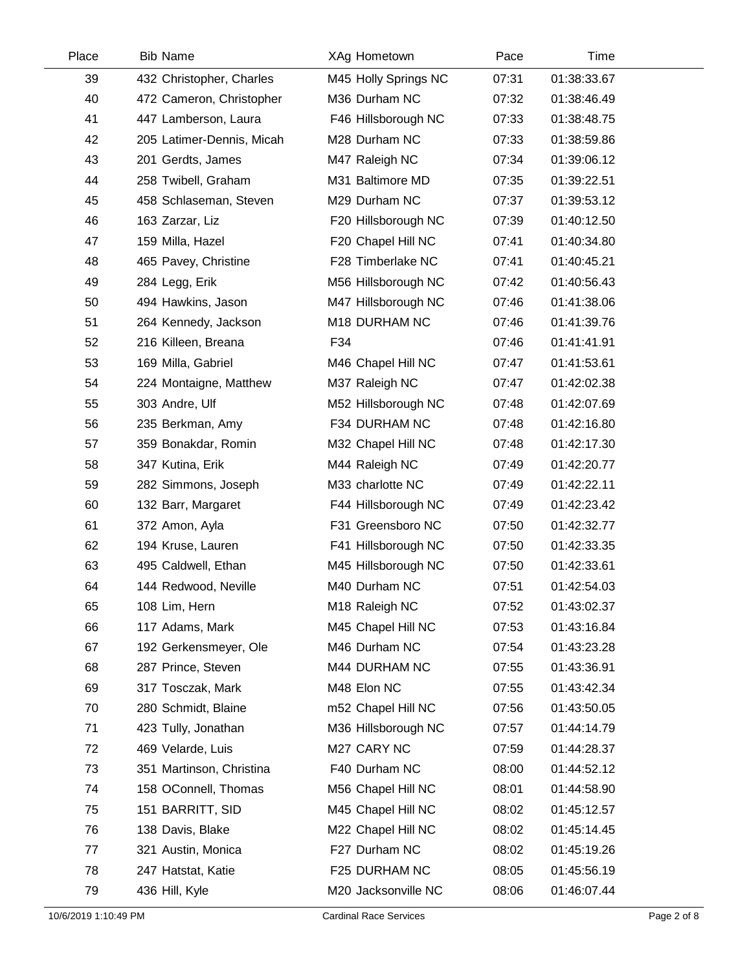| Place | <b>Bib Name</b>           | XAg Hometown         | Pace  | Time        |  |
|-------|---------------------------|----------------------|-------|-------------|--|
| 39    | 432 Christopher, Charles  | M45 Holly Springs NC | 07:31 | 01:38:33.67 |  |
| 40    | 472 Cameron, Christopher  | M36 Durham NC        | 07:32 | 01:38:46.49 |  |
| 41    | 447 Lamberson, Laura      | F46 Hillsborough NC  | 07:33 | 01:38:48.75 |  |
| 42    | 205 Latimer-Dennis, Micah | M28 Durham NC        | 07:33 | 01:38:59.86 |  |
| 43    | 201 Gerdts, James         | M47 Raleigh NC       | 07:34 | 01:39:06.12 |  |
| 44    | 258 Twibell, Graham       | M31 Baltimore MD     | 07:35 | 01:39:22.51 |  |
| 45    | 458 Schlaseman, Steven    | M29 Durham NC        | 07:37 | 01:39:53.12 |  |
| 46    | 163 Zarzar, Liz           | F20 Hillsborough NC  | 07:39 | 01:40:12.50 |  |
| 47    | 159 Milla, Hazel          | F20 Chapel Hill NC   | 07:41 | 01:40:34.80 |  |
| 48    | 465 Pavey, Christine      | F28 Timberlake NC    | 07:41 | 01:40:45.21 |  |
| 49    | 284 Legg, Erik            | M56 Hillsborough NC  | 07:42 | 01:40:56.43 |  |
| 50    | 494 Hawkins, Jason        | M47 Hillsborough NC  | 07:46 | 01:41:38.06 |  |
| 51    | 264 Kennedy, Jackson      | M18 DURHAM NC        | 07:46 | 01:41:39.76 |  |
| 52    | 216 Killeen, Breana       | F34                  | 07:46 | 01:41:41.91 |  |
| 53    | 169 Milla, Gabriel        | M46 Chapel Hill NC   | 07:47 | 01:41:53.61 |  |
| 54    | 224 Montaigne, Matthew    | M37 Raleigh NC       | 07:47 | 01:42:02.38 |  |
| 55    | 303 Andre, Ulf            | M52 Hillsborough NC  | 07:48 | 01:42:07.69 |  |
| 56    | 235 Berkman, Amy          | F34 DURHAM NC        | 07:48 | 01:42:16.80 |  |
| 57    | 359 Bonakdar, Romin       | M32 Chapel Hill NC   | 07:48 | 01:42:17.30 |  |
| 58    | 347 Kutina, Erik          | M44 Raleigh NC       | 07:49 | 01:42:20.77 |  |
| 59    | 282 Simmons, Joseph       | M33 charlotte NC     | 07:49 | 01:42:22.11 |  |
| 60    | 132 Barr, Margaret        | F44 Hillsborough NC  | 07:49 | 01:42:23.42 |  |
| 61    | 372 Amon, Ayla            | F31 Greensboro NC    | 07:50 | 01:42:32.77 |  |
| 62    | 194 Kruse, Lauren         | F41 Hillsborough NC  | 07:50 | 01:42:33.35 |  |
| 63    | 495 Caldwell, Ethan       | M45 Hillsborough NC  | 07:50 | 01:42:33.61 |  |
| 64    | 144 Redwood, Neville      | M40 Durham NC        | 07:51 | 01:42:54.03 |  |
| 65    | 108 Lim, Hern             | M18 Raleigh NC       | 07:52 | 01:43:02.37 |  |
| 66    | 117 Adams, Mark           | M45 Chapel Hill NC   | 07:53 | 01:43:16.84 |  |
| 67    | 192 Gerkensmeyer, Ole     | M46 Durham NC        | 07:54 | 01:43:23.28 |  |
| 68    | 287 Prince, Steven        | M44 DURHAM NC        | 07:55 | 01:43:36.91 |  |
| 69    | 317 Tosczak, Mark         | M48 Elon NC          | 07:55 | 01:43:42.34 |  |
| 70    | 280 Schmidt, Blaine       | m52 Chapel Hill NC   | 07:56 | 01:43:50.05 |  |
| 71    | 423 Tully, Jonathan       | M36 Hillsborough NC  | 07:57 | 01:44:14.79 |  |
| 72    | 469 Velarde, Luis         | M27 CARY NC          | 07:59 | 01:44:28.37 |  |
| 73    | 351 Martinson, Christina  | F40 Durham NC        | 08:00 | 01:44:52.12 |  |
| 74    | 158 OConnell, Thomas      | M56 Chapel Hill NC   | 08:01 | 01:44:58.90 |  |
| 75    | 151 BARRITT, SID          | M45 Chapel Hill NC   | 08:02 | 01:45:12.57 |  |
| 76    | 138 Davis, Blake          | M22 Chapel Hill NC   | 08:02 | 01:45:14.45 |  |
| 77    | 321 Austin, Monica        | F27 Durham NC        | 08:02 | 01:45:19.26 |  |
| 78    | 247 Hatstat, Katie        | F25 DURHAM NC        | 08:05 | 01:45:56.19 |  |
| 79    | 436 Hill, Kyle            | M20 Jacksonville NC  | 08:06 | 01:46:07.44 |  |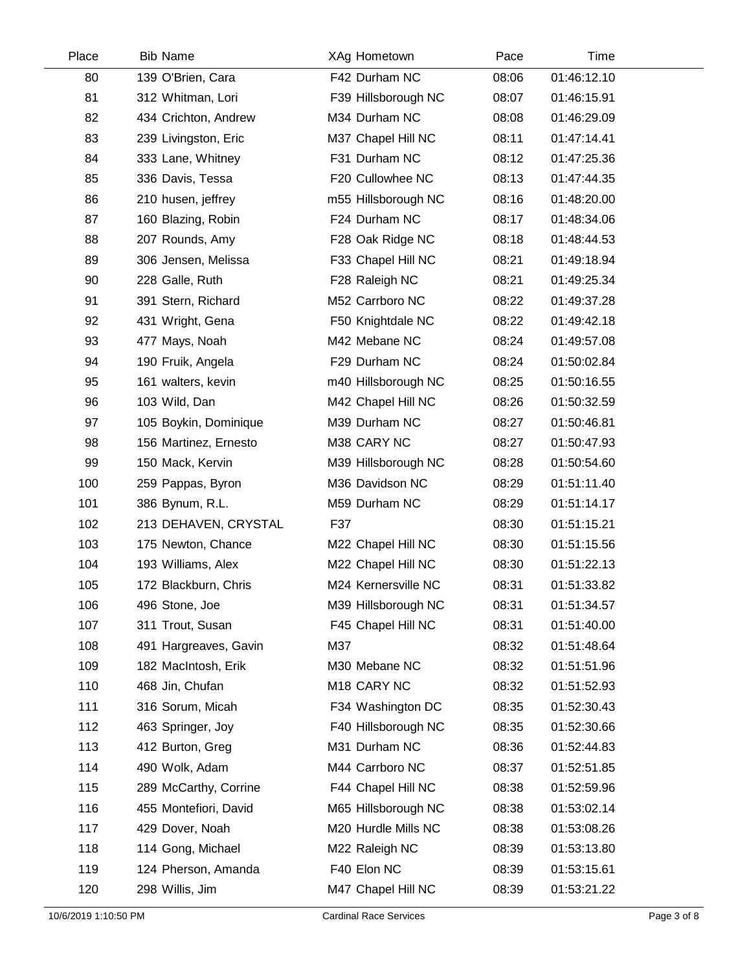| Place | <b>Bib Name</b>       | XAg Hometown        | Pace  | Time        |  |
|-------|-----------------------|---------------------|-------|-------------|--|
| 80    | 139 O'Brien, Cara     | F42 Durham NC       | 08:06 | 01:46:12.10 |  |
| 81    | 312 Whitman, Lori     | F39 Hillsborough NC | 08:07 | 01:46:15.91 |  |
| 82    | 434 Crichton, Andrew  | M34 Durham NC       | 08:08 | 01:46:29.09 |  |
| 83    | 239 Livingston, Eric  | M37 Chapel Hill NC  | 08:11 | 01:47:14.41 |  |
| 84    | 333 Lane, Whitney     | F31 Durham NC       | 08:12 | 01:47:25.36 |  |
| 85    | 336 Davis, Tessa      | F20 Cullowhee NC    | 08:13 | 01:47:44.35 |  |
| 86    | 210 husen, jeffrey    | m55 Hillsborough NC | 08:16 | 01:48:20.00 |  |
| 87    | 160 Blazing, Robin    | F24 Durham NC       | 08:17 | 01:48:34.06 |  |
| 88    | 207 Rounds, Amy       | F28 Oak Ridge NC    | 08:18 | 01:48:44.53 |  |
| 89    | 306 Jensen, Melissa   | F33 Chapel Hill NC  | 08:21 | 01:49:18.94 |  |
| 90    | 228 Galle, Ruth       | F28 Raleigh NC      | 08:21 | 01:49:25.34 |  |
| 91    | 391 Stern, Richard    | M52 Carrboro NC     | 08:22 | 01:49:37.28 |  |
| 92    | 431 Wright, Gena      | F50 Knightdale NC   | 08:22 | 01:49:42.18 |  |
| 93    | 477 Mays, Noah        | M42 Mebane NC       | 08:24 | 01:49:57.08 |  |
| 94    | 190 Fruik, Angela     | F29 Durham NC       | 08:24 | 01:50:02.84 |  |
| 95    | 161 walters, kevin    | m40 Hillsborough NC | 08:25 | 01:50:16.55 |  |
| 96    | 103 Wild, Dan         | M42 Chapel Hill NC  | 08:26 | 01:50:32.59 |  |
| 97    | 105 Boykin, Dominique | M39 Durham NC       | 08:27 | 01:50:46.81 |  |
| 98    | 156 Martinez, Ernesto | M38 CARY NC         | 08:27 | 01:50:47.93 |  |
| 99    | 150 Mack, Kervin      | M39 Hillsborough NC | 08:28 | 01:50:54.60 |  |
| 100   | 259 Pappas, Byron     | M36 Davidson NC     | 08:29 | 01:51:11.40 |  |
| 101   | 386 Bynum, R.L.       | M59 Durham NC       | 08:29 | 01:51:14.17 |  |
| 102   | 213 DEHAVEN, CRYSTAL  | F37                 | 08:30 | 01:51:15.21 |  |
| 103   | 175 Newton, Chance    | M22 Chapel Hill NC  | 08:30 | 01:51:15.56 |  |
| 104   | 193 Williams, Alex    | M22 Chapel Hill NC  | 08:30 | 01:51:22.13 |  |
| 105   | 172 Blackburn, Chris  | M24 Kernersville NC | 08:31 | 01:51:33.82 |  |
| 106   | 496 Stone, Joe        | M39 Hillsborough NC | 08:31 | 01:51:34.57 |  |
| 107   | 311 Trout, Susan      | F45 Chapel Hill NC  | 08:31 | 01:51:40.00 |  |
| 108   | 491 Hargreaves, Gavin | M37                 | 08:32 | 01:51:48.64 |  |
| 109   | 182 MacIntosh, Erik   | M30 Mebane NC       | 08:32 | 01:51:51.96 |  |
| 110   | 468 Jin, Chufan       | M18 CARY NC         | 08:32 | 01:51:52.93 |  |
| 111   | 316 Sorum, Micah      | F34 Washington DC   | 08:35 | 01:52:30.43 |  |
| 112   | 463 Springer, Joy     | F40 Hillsborough NC | 08:35 | 01:52:30.66 |  |
| 113   | 412 Burton, Greg      | M31 Durham NC       | 08:36 | 01:52:44.83 |  |
| 114   | 490 Wolk, Adam        | M44 Carrboro NC     | 08:37 | 01:52:51.85 |  |
| 115   | 289 McCarthy, Corrine | F44 Chapel Hill NC  | 08:38 | 01:52:59.96 |  |
| 116   | 455 Montefiori, David | M65 Hillsborough NC | 08:38 | 01:53:02.14 |  |
| 117   | 429 Dover, Noah       | M20 Hurdle Mills NC | 08:38 | 01:53:08.26 |  |
| 118   | 114 Gong, Michael     | M22 Raleigh NC      | 08:39 | 01:53:13.80 |  |
| 119   | 124 Pherson, Amanda   | F40 Elon NC         | 08:39 | 01:53:15.61 |  |
| 120   | 298 Willis, Jim       | M47 Chapel Hill NC  | 08:39 | 01:53:21.22 |  |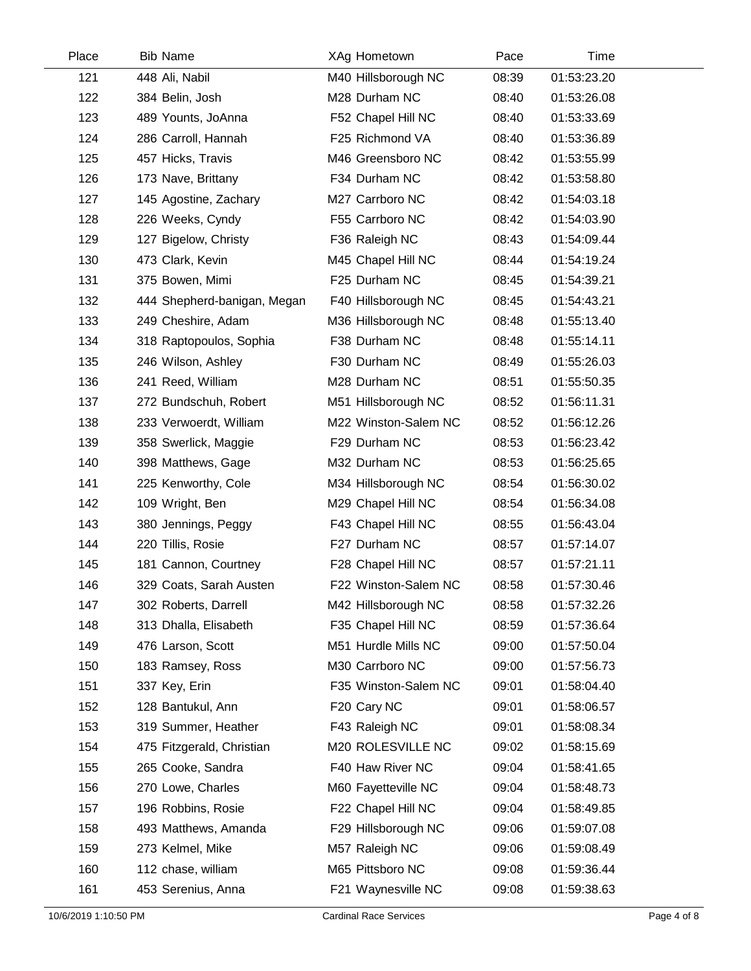| Place | <b>Bib Name</b>             | XAg Hometown            | Pace  | Time        |  |
|-------|-----------------------------|-------------------------|-------|-------------|--|
| 121   | 448 Ali, Nabil              | M40 Hillsborough NC     | 08:39 | 01:53:23.20 |  |
| 122   | 384 Belin, Josh             | M28 Durham NC           | 08:40 | 01:53:26.08 |  |
| 123   | 489 Younts, JoAnna          | F52 Chapel Hill NC      | 08:40 | 01:53:33.69 |  |
| 124   | 286 Carroll, Hannah         | F25 Richmond VA         | 08:40 | 01:53:36.89 |  |
| 125   | 457 Hicks, Travis           | M46 Greensboro NC       | 08:42 | 01:53:55.99 |  |
| 126   | 173 Nave, Brittany          | F34 Durham NC           | 08:42 | 01:53:58.80 |  |
| 127   | 145 Agostine, Zachary       | M27 Carrboro NC         | 08:42 | 01:54:03.18 |  |
| 128   | 226 Weeks, Cyndy            | F55 Carrboro NC         | 08:42 | 01:54:03.90 |  |
| 129   | 127 Bigelow, Christy        | F36 Raleigh NC          | 08:43 | 01:54:09.44 |  |
| 130   | 473 Clark, Kevin            | M45 Chapel Hill NC      | 08:44 | 01:54:19.24 |  |
| 131   | 375 Bowen, Mimi             | F25 Durham NC           | 08:45 | 01:54:39.21 |  |
| 132   | 444 Shepherd-banigan, Megan | F40 Hillsborough NC     | 08:45 | 01:54:43.21 |  |
| 133   | 249 Cheshire, Adam          | M36 Hillsborough NC     | 08:48 | 01:55:13.40 |  |
| 134   | 318 Raptopoulos, Sophia     | F38 Durham NC           | 08:48 | 01:55:14.11 |  |
| 135   | 246 Wilson, Ashley          | F30 Durham NC           | 08:49 | 01:55:26.03 |  |
| 136   | 241 Reed, William           | M28 Durham NC           | 08:51 | 01:55:50.35 |  |
| 137   | 272 Bundschuh, Robert       | M51 Hillsborough NC     | 08:52 | 01:56:11.31 |  |
| 138   | 233 Verwoerdt, William      | M22 Winston-Salem NC    | 08:52 | 01:56:12.26 |  |
| 139   | 358 Swerlick, Maggie        | F29 Durham NC           | 08:53 | 01:56:23.42 |  |
| 140   | 398 Matthews, Gage          | M32 Durham NC           | 08:53 | 01:56:25.65 |  |
| 141   | 225 Kenworthy, Cole         | M34 Hillsborough NC     | 08:54 | 01:56:30.02 |  |
| 142   | 109 Wright, Ben             | M29 Chapel Hill NC      | 08:54 | 01:56:34.08 |  |
| 143   | 380 Jennings, Peggy         | F43 Chapel Hill NC      | 08:55 | 01:56:43.04 |  |
| 144   | 220 Tillis, Rosie           | F27 Durham NC           | 08:57 | 01:57:14.07 |  |
| 145   | 181 Cannon, Courtney        | F28 Chapel Hill NC      | 08:57 | 01:57:21.11 |  |
| 146   | 329 Coats, Sarah Austen     | F22 Winston-Salem NC    | 08:58 | 01:57:30.46 |  |
| 147   | 302 Roberts, Darrell        | M42 Hillsborough NC     | 08:58 | 01:57:32.26 |  |
| 148   | 313 Dhalla, Elisabeth       | F35 Chapel Hill NC      | 08:59 | 01:57:36.64 |  |
| 149   | 476 Larson, Scott           | M51 Hurdle Mills NC     | 09:00 | 01:57:50.04 |  |
| 150   | 183 Ramsey, Ross            | M30 Carrboro NC         | 09:00 | 01:57:56.73 |  |
| 151   | 337 Key, Erin               | F35 Winston-Salem NC    | 09:01 | 01:58:04.40 |  |
| 152   | 128 Bantukul, Ann           | F <sub>20</sub> Cary NC | 09:01 | 01:58:06.57 |  |
| 153   | 319 Summer, Heather         | F43 Raleigh NC          | 09:01 | 01:58:08.34 |  |
| 154   | 475 Fitzgerald, Christian   | M20 ROLESVILLE NC       | 09:02 | 01:58:15.69 |  |
| 155   | 265 Cooke, Sandra           | F40 Haw River NC        | 09:04 | 01:58:41.65 |  |
| 156   | 270 Lowe, Charles           | M60 Fayetteville NC     | 09:04 | 01:58:48.73 |  |
| 157   | 196 Robbins, Rosie          | F22 Chapel Hill NC      | 09:04 | 01:58:49.85 |  |
| 158   | 493 Matthews, Amanda        | F29 Hillsborough NC     | 09:06 | 01:59:07.08 |  |
| 159   | 273 Kelmel, Mike            | M57 Raleigh NC          | 09:06 | 01:59:08.49 |  |
| 160   | 112 chase, william          | M65 Pittsboro NC        | 09:08 | 01:59:36.44 |  |
| 161   | 453 Serenius, Anna          | F21 Waynesville NC      | 09:08 | 01:59:38.63 |  |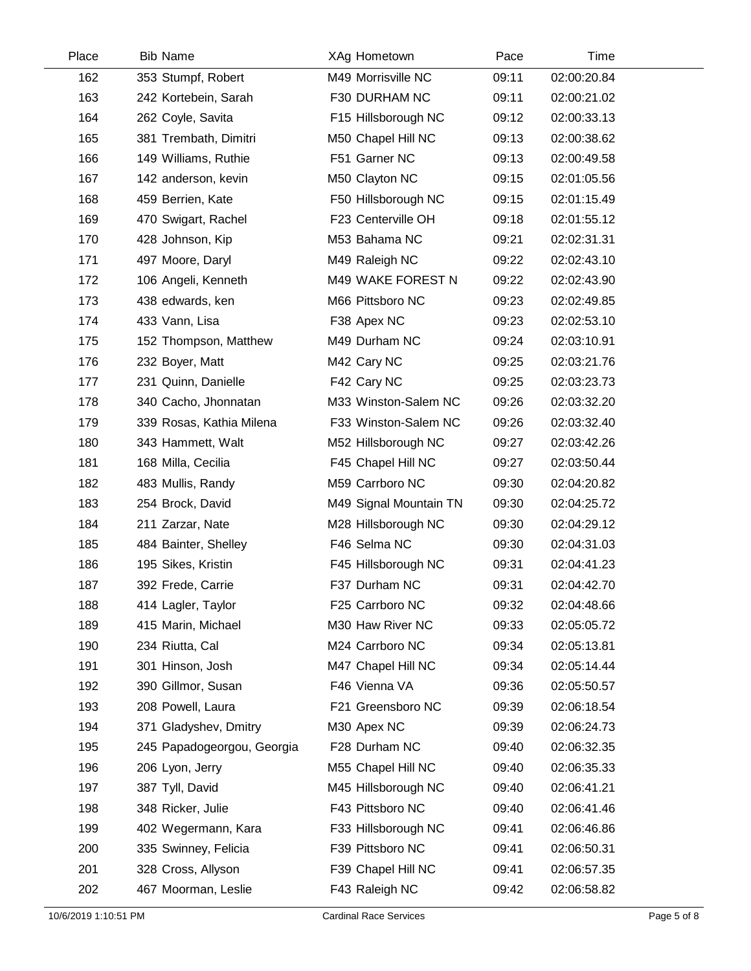| Place | <b>Bib Name</b>            | XAg Hometown           | Pace  | Time        |  |
|-------|----------------------------|------------------------|-------|-------------|--|
| 162   | 353 Stumpf, Robert         | M49 Morrisville NC     | 09:11 | 02:00:20.84 |  |
| 163   | 242 Kortebein, Sarah       | F30 DURHAM NC          | 09:11 | 02:00:21.02 |  |
| 164   | 262 Coyle, Savita          | F15 Hillsborough NC    | 09:12 | 02:00:33.13 |  |
| 165   | 381 Trembath, Dimitri      | M50 Chapel Hill NC     | 09:13 | 02:00:38.62 |  |
| 166   | 149 Williams, Ruthie       | F51 Garner NC          | 09:13 | 02:00:49.58 |  |
| 167   | 142 anderson, kevin        | M50 Clayton NC         | 09:15 | 02:01:05.56 |  |
| 168   | 459 Berrien, Kate          | F50 Hillsborough NC    | 09:15 | 02:01:15.49 |  |
| 169   | 470 Swigart, Rachel        | F23 Centerville OH     | 09:18 | 02:01:55.12 |  |
| 170   | 428 Johnson, Kip           | M53 Bahama NC          | 09:21 | 02:02:31.31 |  |
| 171   | 497 Moore, Daryl           | M49 Raleigh NC         | 09:22 | 02:02:43.10 |  |
| 172   | 106 Angeli, Kenneth        | M49 WAKE FOREST N      | 09:22 | 02:02:43.90 |  |
| 173   | 438 edwards, ken           | M66 Pittsboro NC       | 09:23 | 02:02:49.85 |  |
| 174   | 433 Vann, Lisa             | F38 Apex NC            | 09:23 | 02:02:53.10 |  |
| 175   | 152 Thompson, Matthew      | M49 Durham NC          | 09:24 | 02:03:10.91 |  |
| 176   | 232 Boyer, Matt            | M42 Cary NC            | 09:25 | 02:03:21.76 |  |
| 177   | 231 Quinn, Danielle        | F42 Cary NC            | 09:25 | 02:03:23.73 |  |
| 178   | 340 Cacho, Jhonnatan       | M33 Winston-Salem NC   | 09:26 | 02:03:32.20 |  |
| 179   | 339 Rosas, Kathia Milena   | F33 Winston-Salem NC   | 09:26 | 02:03:32.40 |  |
| 180   | 343 Hammett, Walt          | M52 Hillsborough NC    | 09:27 | 02:03:42.26 |  |
| 181   | 168 Milla, Cecilia         | F45 Chapel Hill NC     | 09:27 | 02:03:50.44 |  |
| 182   | 483 Mullis, Randy          | M59 Carrboro NC        | 09:30 | 02:04:20.82 |  |
| 183   | 254 Brock, David           | M49 Signal Mountain TN | 09:30 | 02:04:25.72 |  |
| 184   | 211 Zarzar, Nate           | M28 Hillsborough NC    | 09:30 | 02:04:29.12 |  |
| 185   | 484 Bainter, Shelley       | F46 Selma NC           | 09:30 | 02:04:31.03 |  |
| 186   | 195 Sikes, Kristin         | F45 Hillsborough NC    | 09:31 | 02:04:41.23 |  |
| 187   | 392 Frede, Carrie          | F37 Durham NC          | 09:31 | 02:04:42.70 |  |
| 188   | 414 Lagler, Taylor         | F25 Carrboro NC        | 09:32 | 02:04:48.66 |  |
| 189   | 415 Marin, Michael         | M30 Haw River NC       | 09:33 | 02:05:05.72 |  |
| 190   | 234 Riutta, Cal            | M24 Carrboro NC        | 09:34 | 02:05:13.81 |  |
| 191   | 301 Hinson, Josh           | M47 Chapel Hill NC     | 09:34 | 02:05:14.44 |  |
| 192   | 390 Gillmor, Susan         | F46 Vienna VA          | 09:36 | 02:05:50.57 |  |
| 193   | 208 Powell, Laura          | F21 Greensboro NC      | 09:39 | 02:06:18.54 |  |
| 194   | 371 Gladyshev, Dmitry      | M30 Apex NC            | 09:39 | 02:06:24.73 |  |
| 195   | 245 Papadogeorgou, Georgia | F28 Durham NC          | 09:40 | 02:06:32.35 |  |
| 196   | 206 Lyon, Jerry            | M55 Chapel Hill NC     | 09:40 | 02:06:35.33 |  |
| 197   | 387 Tyll, David            | M45 Hillsborough NC    | 09:40 | 02:06:41.21 |  |
| 198   | 348 Ricker, Julie          | F43 Pittsboro NC       | 09:40 | 02:06:41.46 |  |
| 199   | 402 Wegermann, Kara        | F33 Hillsborough NC    | 09:41 | 02:06:46.86 |  |
| 200   | 335 Swinney, Felicia       | F39 Pittsboro NC       | 09:41 | 02:06:50.31 |  |
| 201   | 328 Cross, Allyson         | F39 Chapel Hill NC     | 09:41 | 02:06:57.35 |  |
| 202   | 467 Moorman, Leslie        | F43 Raleigh NC         | 09:42 | 02:06:58.82 |  |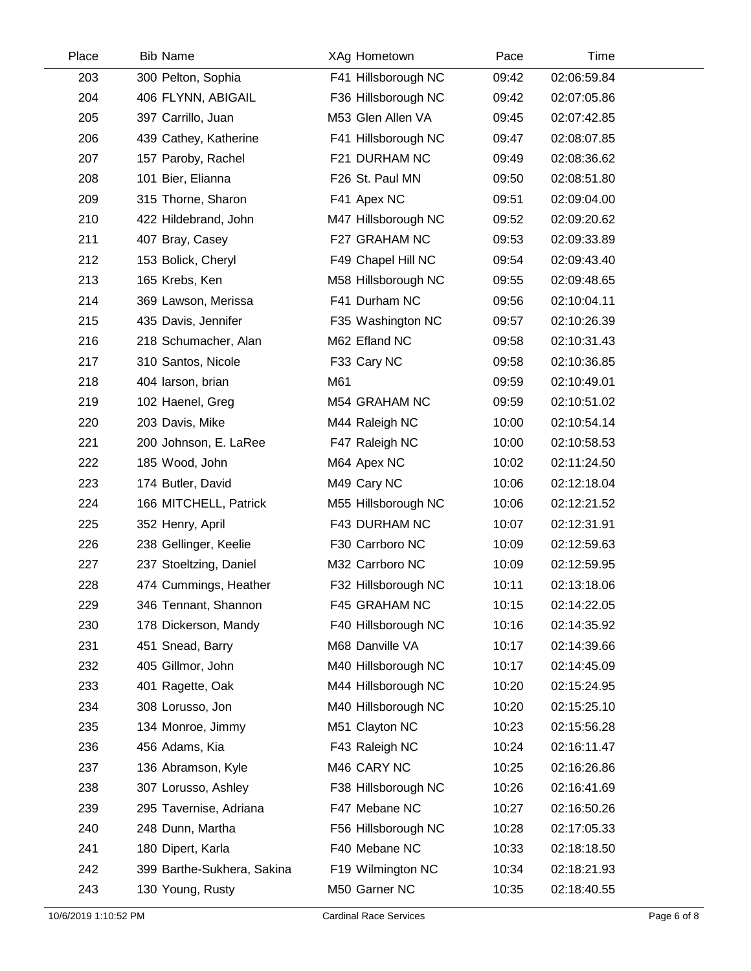| Place | <b>Bib Name</b>            | XAg Hometown        | Pace  | Time        |  |
|-------|----------------------------|---------------------|-------|-------------|--|
| 203   | 300 Pelton, Sophia         | F41 Hillsborough NC | 09:42 | 02:06:59.84 |  |
| 204   | 406 FLYNN, ABIGAIL         | F36 Hillsborough NC | 09:42 | 02:07:05.86 |  |
| 205   | 397 Carrillo, Juan         | M53 Glen Allen VA   | 09:45 | 02:07:42.85 |  |
| 206   | 439 Cathey, Katherine      | F41 Hillsborough NC | 09:47 | 02:08:07.85 |  |
| 207   | 157 Paroby, Rachel         | F21 DURHAM NC       | 09:49 | 02:08:36.62 |  |
| 208   | 101 Bier, Elianna          | F26 St. Paul MN     | 09:50 | 02:08:51.80 |  |
| 209   | 315 Thorne, Sharon         | F41 Apex NC         | 09:51 | 02:09:04.00 |  |
| 210   | 422 Hildebrand, John       | M47 Hillsborough NC | 09:52 | 02:09:20.62 |  |
| 211   | 407 Bray, Casey            | F27 GRAHAM NC       | 09:53 | 02:09:33.89 |  |
| 212   | 153 Bolick, Cheryl         | F49 Chapel Hill NC  | 09:54 | 02:09:43.40 |  |
| 213   | 165 Krebs, Ken             | M58 Hillsborough NC | 09:55 | 02:09:48.65 |  |
| 214   | 369 Lawson, Merissa        | F41 Durham NC       | 09:56 | 02:10:04.11 |  |
| 215   | 435 Davis, Jennifer        | F35 Washington NC   | 09:57 | 02:10:26.39 |  |
| 216   | 218 Schumacher, Alan       | M62 Efland NC       | 09:58 | 02:10:31.43 |  |
| 217   | 310 Santos, Nicole         | F33 Cary NC         | 09:58 | 02:10:36.85 |  |
| 218   | 404 larson, brian          | M61                 | 09:59 | 02:10:49.01 |  |
| 219   | 102 Haenel, Greg           | M54 GRAHAM NC       | 09:59 | 02:10:51.02 |  |
| 220   | 203 Davis, Mike            | M44 Raleigh NC      | 10:00 | 02:10:54.14 |  |
| 221   | 200 Johnson, E. LaRee      | F47 Raleigh NC      | 10:00 | 02:10:58.53 |  |
| 222   | 185 Wood, John             | M64 Apex NC         | 10:02 | 02:11:24.50 |  |
| 223   | 174 Butler, David          | M49 Cary NC         | 10:06 | 02:12:18.04 |  |
| 224   | 166 MITCHELL, Patrick      | M55 Hillsborough NC | 10:06 | 02:12:21.52 |  |
| 225   | 352 Henry, April           | F43 DURHAM NC       | 10:07 | 02:12:31.91 |  |
| 226   | 238 Gellinger, Keelie      | F30 Carrboro NC     | 10:09 | 02:12:59.63 |  |
| 227   | 237 Stoeltzing, Daniel     | M32 Carrboro NC     | 10:09 | 02:12:59.95 |  |
| 228   | 474 Cummings, Heather      | F32 Hillsborough NC | 10:11 | 02:13:18.06 |  |
| 229   | 346 Tennant, Shannon       | F45 GRAHAM NC       | 10:15 | 02:14:22.05 |  |
| 230   | 178 Dickerson, Mandy       | F40 Hillsborough NC | 10:16 | 02:14:35.92 |  |
| 231   | 451 Snead, Barry           | M68 Danville VA     | 10:17 | 02:14:39.66 |  |
| 232   | 405 Gillmor, John          | M40 Hillsborough NC | 10:17 | 02:14:45.09 |  |
| 233   | 401 Ragette, Oak           | M44 Hillsborough NC | 10:20 | 02:15:24.95 |  |
| 234   | 308 Lorusso, Jon           | M40 Hillsborough NC | 10:20 | 02:15:25.10 |  |
| 235   | 134 Monroe, Jimmy          | M51 Clayton NC      | 10:23 | 02:15:56.28 |  |
| 236   | 456 Adams, Kia             | F43 Raleigh NC      | 10:24 | 02:16:11.47 |  |
| 237   | 136 Abramson, Kyle         | M46 CARY NC         | 10:25 | 02:16:26.86 |  |
| 238   | 307 Lorusso, Ashley        | F38 Hillsborough NC | 10:26 | 02:16:41.69 |  |
| 239   | 295 Tavernise, Adriana     | F47 Mebane NC       | 10:27 | 02:16:50.26 |  |
| 240   | 248 Dunn, Martha           | F56 Hillsborough NC | 10:28 | 02:17:05.33 |  |
| 241   | 180 Dipert, Karla          | F40 Mebane NC       | 10:33 | 02:18:18.50 |  |
| 242   | 399 Barthe-Sukhera, Sakina | F19 Wilmington NC   | 10:34 | 02:18:21.93 |  |
| 243   | 130 Young, Rusty           | M50 Garner NC       | 10:35 | 02:18:40.55 |  |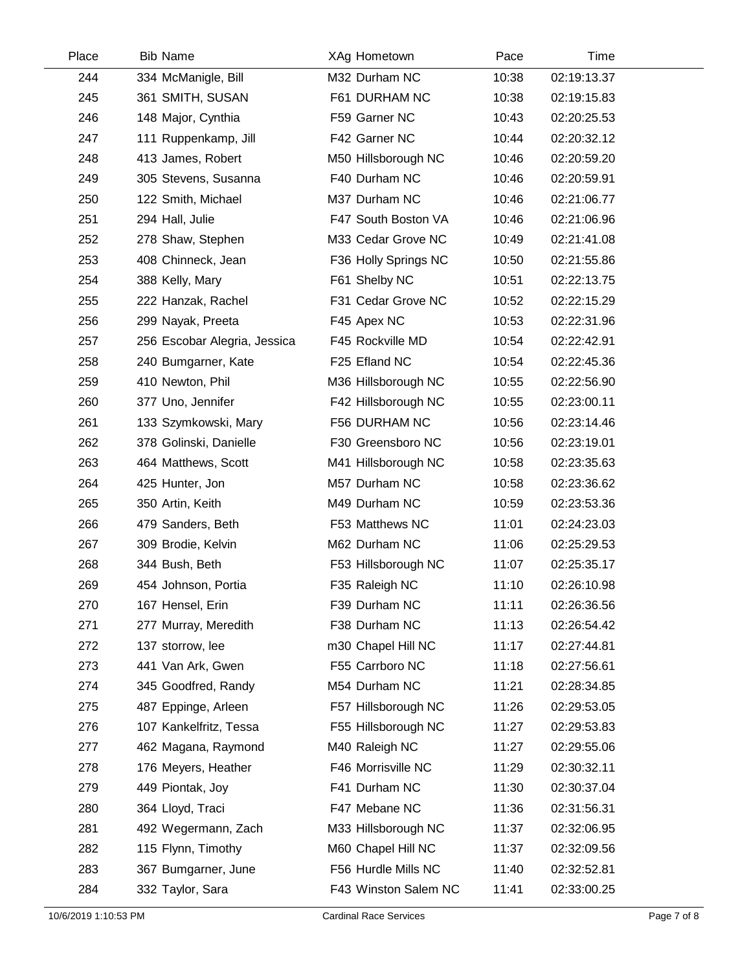| Place | <b>Bib Name</b>              | XAg Hometown         | Pace  | Time        |
|-------|------------------------------|----------------------|-------|-------------|
| 244   | 334 McManigle, Bill          | M32 Durham NC        | 10:38 | 02:19:13.37 |
| 245   | 361 SMITH, SUSAN             | F61 DURHAM NC        | 10:38 | 02:19:15.83 |
| 246   | 148 Major, Cynthia           | F59 Garner NC        | 10:43 | 02:20:25.53 |
| 247   | 111 Ruppenkamp, Jill         | F42 Garner NC        | 10:44 | 02:20:32.12 |
| 248   | 413 James, Robert            | M50 Hillsborough NC  | 10:46 | 02:20:59.20 |
| 249   | 305 Stevens, Susanna         | F40 Durham NC        | 10:46 | 02:20:59.91 |
| 250   | 122 Smith, Michael           | M37 Durham NC        | 10:46 | 02:21:06.77 |
| 251   | 294 Hall, Julie              | F47 South Boston VA  | 10:46 | 02:21:06.96 |
| 252   | 278 Shaw, Stephen            | M33 Cedar Grove NC   | 10:49 | 02:21:41.08 |
| 253   | 408 Chinneck, Jean           | F36 Holly Springs NC | 10:50 | 02:21:55.86 |
| 254   | 388 Kelly, Mary              | F61 Shelby NC        | 10:51 | 02:22:13.75 |
| 255   | 222 Hanzak, Rachel           | F31 Cedar Grove NC   | 10:52 | 02:22:15.29 |
| 256   | 299 Nayak, Preeta            | F45 Apex NC          | 10:53 | 02:22:31.96 |
| 257   | 256 Escobar Alegria, Jessica | F45 Rockville MD     | 10:54 | 02:22:42.91 |
| 258   | 240 Bumgarner, Kate          | F25 Efland NC        | 10:54 | 02:22:45.36 |
| 259   | 410 Newton, Phil             | M36 Hillsborough NC  | 10:55 | 02:22:56.90 |
| 260   | 377 Uno, Jennifer            | F42 Hillsborough NC  | 10:55 | 02:23:00.11 |
| 261   | 133 Szymkowski, Mary         | F56 DURHAM NC        | 10:56 | 02:23:14.46 |
| 262   | 378 Golinski, Danielle       | F30 Greensboro NC    | 10:56 | 02:23:19.01 |
| 263   | 464 Matthews, Scott          | M41 Hillsborough NC  | 10:58 | 02:23:35.63 |
| 264   | 425 Hunter, Jon              | M57 Durham NC        | 10:58 | 02:23:36.62 |
| 265   | 350 Artin, Keith             | M49 Durham NC        | 10:59 | 02:23:53.36 |
| 266   | 479 Sanders, Beth            | F53 Matthews NC      | 11:01 | 02:24:23.03 |
| 267   | 309 Brodie, Kelvin           | M62 Durham NC        | 11:06 | 02:25:29.53 |
| 268   | 344 Bush, Beth               | F53 Hillsborough NC  | 11:07 | 02:25:35.17 |
| 269   | 454 Johnson, Portia          | F35 Raleigh NC       | 11:10 | 02:26:10.98 |
| 270   | 167 Hensel, Erin             | F39 Durham NC        | 11:11 | 02:26:36.56 |
| 271   | 277 Murray, Meredith         | F38 Durham NC        | 11:13 | 02:26:54.42 |
| 272   | 137 storrow, lee             | m30 Chapel Hill NC   | 11:17 | 02:27:44.81 |
| 273   | 441 Van Ark, Gwen            | F55 Carrboro NC      | 11:18 | 02:27:56.61 |
| 274   | 345 Goodfred, Randy          | M54 Durham NC        | 11:21 | 02:28:34.85 |
| 275   | 487 Eppinge, Arleen          | F57 Hillsborough NC  | 11:26 | 02:29:53.05 |
| 276   | 107 Kankelfritz, Tessa       | F55 Hillsborough NC  | 11:27 | 02:29:53.83 |
| 277   | 462 Magana, Raymond          | M40 Raleigh NC       | 11:27 | 02:29:55.06 |
| 278   | 176 Meyers, Heather          | F46 Morrisville NC   | 11:29 | 02:30:32.11 |
| 279   | 449 Piontak, Joy             | F41 Durham NC        | 11:30 | 02:30:37.04 |
| 280   | 364 Lloyd, Traci             | F47 Mebane NC        | 11:36 | 02:31:56.31 |
| 281   | 492 Wegermann, Zach          | M33 Hillsborough NC  | 11:37 | 02:32:06.95 |
| 282   | 115 Flynn, Timothy           | M60 Chapel Hill NC   | 11:37 | 02:32:09.56 |
| 283   | 367 Bumgarner, June          | F56 Hurdle Mills NC  | 11:40 | 02:32:52.81 |
| 284   | 332 Taylor, Sara             | F43 Winston Salem NC | 11:41 | 02:33:00.25 |